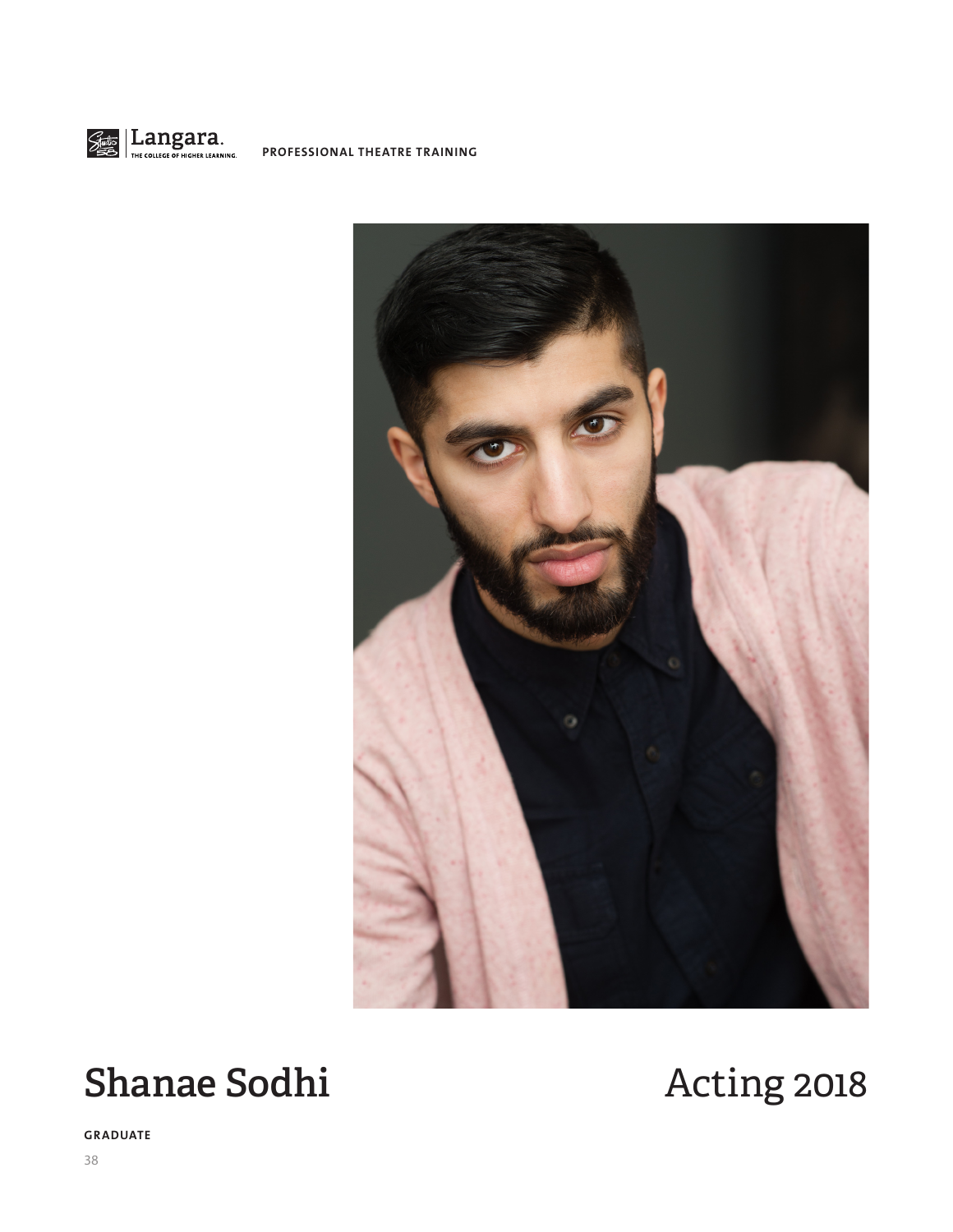

**PROFESSIONAL THEATRE TRAINING**



# **Shanae Sodhi** Acting 2018

**GRADUATE**